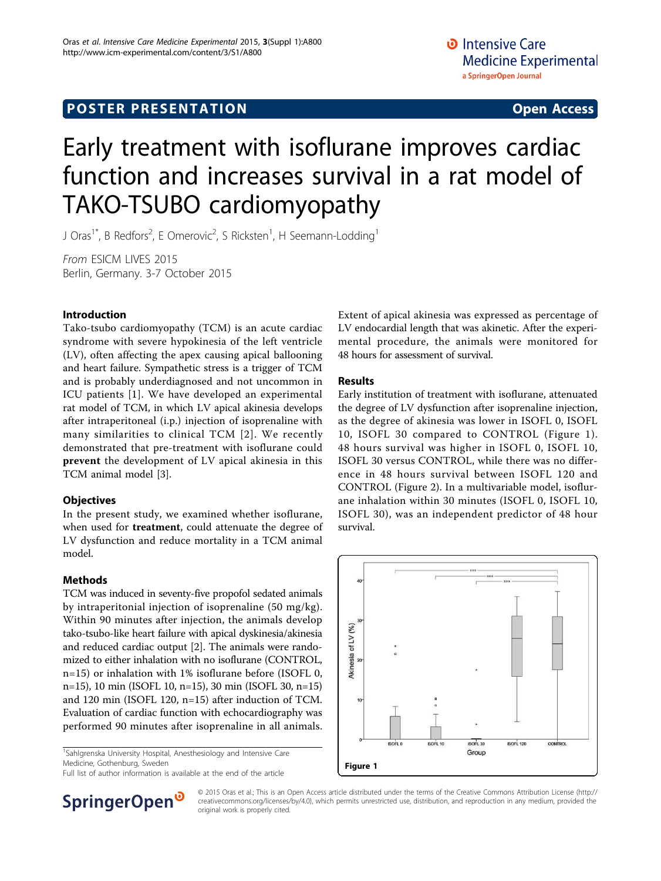## **POSTER PRESENTATION CONSUMING ACCESS**

# Early treatment with isoflurane improves cardiac function and increases survival in a rat model of TAKO-TSUBO cardiomyopathy

J Oras<sup>1\*</sup>, B Redfors<sup>2</sup>, E Omerovic<sup>2</sup>, S Ricksten<sup>1</sup>, H Seemann-Lodding<sup>1</sup>

From ESICM LIVES 2015 Berlin, Germany. 3-7 October 2015

### Introduction

Tako-tsubo cardiomyopathy (TCM) is an acute cardiac syndrome with severe hypokinesia of the left ventricle (LV), often affecting the apex causing apical ballooning and heart failure. Sympathetic stress is a trigger of TCM and is probably underdiagnosed and not uncommon in ICU patients [[1\]](#page-1-0). We have developed an experimental rat model of TCM, in which LV apical akinesia develops after intraperitoneal (i.p.) injection of isoprenaline with many similarities to clinical TCM [[2](#page-1-0)]. We recently demonstrated that pre-treatment with isoflurane could prevent the development of LV apical akinesia in this TCM animal model [\[3](#page-1-0)].

### **Objectives**

In the present study, we examined whether isoflurane, when used for **treatment**, could attenuate the degree of LV dysfunction and reduce mortality in a TCM animal model.

### Methods

TCM was induced in seventy-five propofol sedated animals by intraperitonial injection of isoprenaline (50 mg/kg). Within 90 minutes after injection, the animals develop tako-tsubo-like heart failure with apical dyskinesia/akinesia and reduced cardiac output [[2\]](#page-1-0). The animals were randomized to either inhalation with no isoflurane (CONTROL, n=15) or inhalation with 1% isoflurane before (ISOFL 0, n=15), 10 min (ISOFL 10, n=15), 30 min (ISOFL 30, n=15) and 120 min (ISOFL 120, n=15) after induction of TCM. Evaluation of cardiac function with echocardiography was performed 90 minutes after isoprenaline in all animals.

<sup>1</sup>Sahlgrenska University Hospital, Anesthesiology and Intensive Care Medicine, Gothenburg, Sweden

 $\frac{1}{2}$  Medicine, Gothenburg, Sweden<br>Full list of author information is available at the end of the article



### Results

Early institution of treatment with isoflurane, attenuated the degree of LV dysfunction after isoprenaline injection, as the degree of akinesia was lower in ISOFL 0, ISOFL 10, ISOFL 30 compared to CONTROL (Figure 1). 48 hours survival was higher in ISOFL 0, ISOFL 10, ISOFL 30 versus CONTROL, while there was no difference in 48 hours survival between ISOFL 120 and CONTROL (Figure [2\)](#page-1-0). In a multivariable model, isoflurane inhalation within 30 minutes (ISOFL 0, ISOFL 10, ISOFL 30), was an independent predictor of 48 hour survival.





© 2015 Oras et al.; This is an Open Access article distributed under the terms of the Creative Commons Attribution License [\(http://](http://creativecommons.org/licenses/by/4.0) [creativecommons.org/licenses/by/4.0](http://creativecommons.org/licenses/by/4.0)), which permits unrestricted use, distribution, and reproduction in any medium, provided the original work is properly cited.